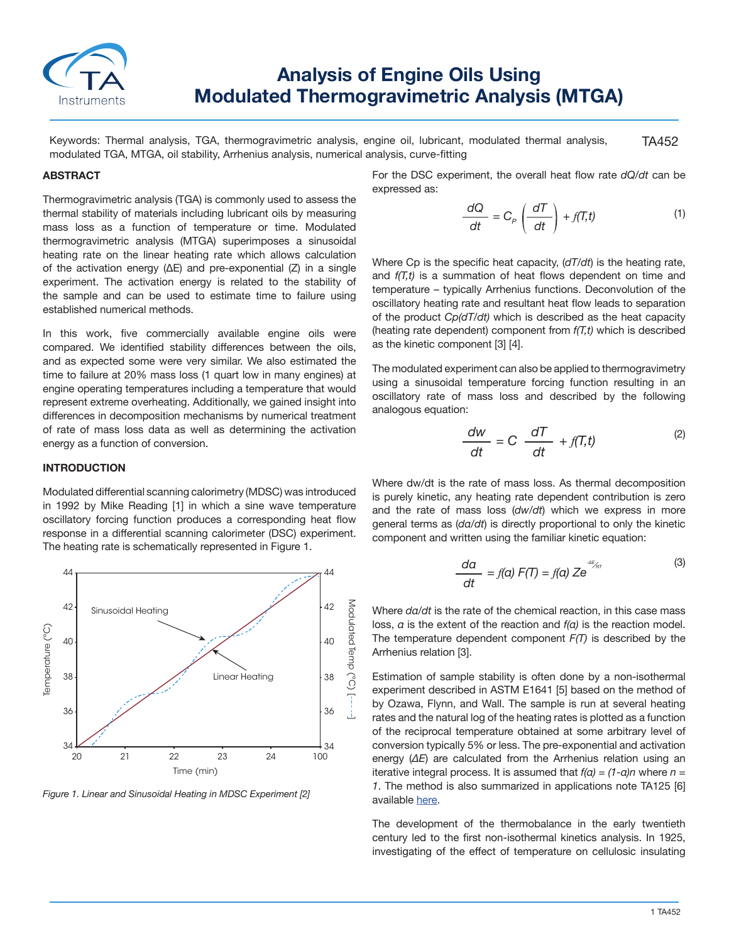

# **Analysis of Engine Oils Using Modulated Thermogravimetric Analysis (MTGA)**

TA452 Keywords: Thermal analysis, TGA, thermogravimetric analysis, engine oil, lubricant, modulated thermal analysis, modulated TGA, MTGA, oil stability, Arrhenius analysis, numerical analysis, curve-fitting

### **ABSTRACT**

Thermogravimetric analysis (TGA) is commonly used to assess the thermal stability of materials including lubricant oils by measuring mass loss as a function of temperature or time. Modulated thermogravimetric analysis (MTGA) superimposes a sinusoidal heating rate on the linear heating rate which allows calculation of the activation energy (ΔE) and pre-exponential (Z) in a single experiment. The activation energy is related to the stability of the sample and can be used to estimate time to failure using established numerical methods.

In this work, five commercially available engine oils were compared. We identified stability differences between the oils, and as expected some were very similar. We also estimated the time to failure at 20% mass loss (1 quart low in many engines) at engine operating temperatures including a temperature that would represent extreme overheating. Additionally, we gained insight into differences in decomposition mechanisms by numerical treatment of rate of mass loss data as well as determining the activation energy as a function of conversion.

#### **INTRODUCTION**

Modulated differential scanning calorimetry (MDSC) was introduced in 1992 by Mike Reading [1] in which a sine wave temperature oscillatory forcing function produces a corresponding heat flow response in a differential scanning calorimeter (DSC) experiment. The heating rate is schematically represented in Figure 1.



*Figure 1. Linear and Sinusoidal Heating in MDSC Experiment [2]*

For the DSC experiment, the overall heat flow rate *dQ/dt* can be expressed as:

$$
\frac{dQ}{dt} = C_P \left( \frac{dT}{dt} \right) + f(T, t)
$$
 (1)

Where Cp is the specific heat capacity, (*dT/dt*) is the heating rate, and *f(T,t)* is a summation of heat flows dependent on time and temperature – typically Arrhenius functions. Deconvolution of the oscillatory heating rate and resultant heat flow leads to separation of the product *Cp(dT/dt)* which is described as the heat capacity (heating rate dependent) component from *f(T,t)* which is described as the kinetic component [3] [4].

The modulated experiment can also be applied to thermogravimetry using a sinusoidal temperature forcing function resulting in an oscillatory rate of mass loss and described by the following analogous equation:

$$
\frac{dw}{dt} = C \frac{dT}{dt} + f(T, t)
$$
 (2)

Where dw/dt is the rate of mass loss. As thermal decomposition is purely kinetic, any heating rate dependent contribution is zero and the rate of mass loss (*dw/dt*) which we express in more general terms as (*dα/dt*) is directly proportional to only the kinetic component and written using the familiar kinetic equation:

$$
\frac{da}{dt} = f(a) F(T) = f(a) Ze^{-aE_{f_{\rm eff}}} \tag{3}
$$

Where  $da/dt$  is the rate of the chemical reaction, in this case mass loss, *α* is the extent of the reaction and *f(α)* is the reaction model. The temperature dependent component *F(T)* is described by the Arrhenius relation [3].

Estimation of sample stability is often done by a non-isothermal experiment described in ASTM E1641 [5] based on the method of by Ozawa, Flynn, and Wall. The sample is run at several heating rates and the natural log of the heating rates is plotted as a function of the reciprocal temperature obtained at some arbitrary level of conversion typically 5% or less. The pre-exponential and activation energy (*ΔE*) are calculated from the Arrhenius relation using an iterative integral process. It is assumed that *f(α) = (1-α)n* where *n = 1*. The method is also summarized in applications note TA125 [6] available here.

The development of the thermobalance in the early twentieth century led to the first non-isothermal kinetics analysis. In 1925, investigating of the effect of temperature on cellulosic insulating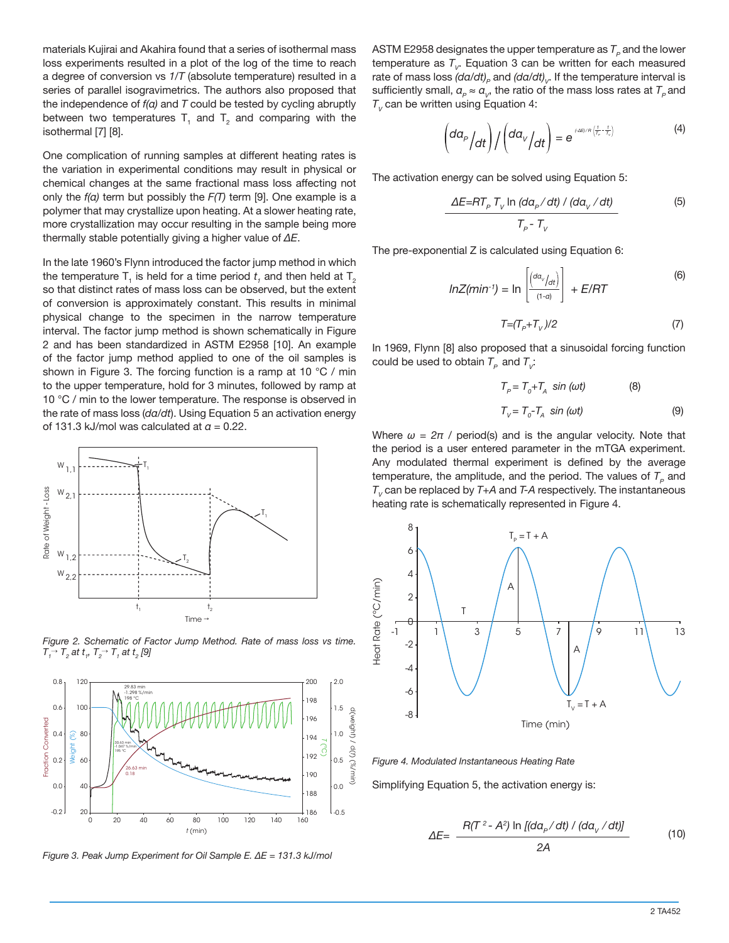materials Kujirai and Akahira found that a series of isothermal mass loss experiments resulted in a plot of the log of the time to reach a degree of conversion vs *1/T* (absolute temperature) resulted in a series of parallel isogravimetrics. The authors also proposed that the independence of *f(α)* and *T* could be tested by cycling abruptly between two temperatures  $T_1$  and  $T_2$  and comparing with the isothermal [7] [8].

One complication of running samples at different heating rates is the variation in experimental conditions may result in physical or chemical changes at the same fractional mass loss affecting not only the *f(α)* term but possibly the *F(T)* term [9]. One example is a polymer that may crystallize upon heating. At a slower heating rate, more crystallization may occur resulting in the sample being more thermally stable potentially giving a higher value of *ΔE*.

In the late 1960's Flynn introduced the factor jump method in which the temperature T<sub>1</sub> is held for a time period  $t_{_I}$  and then held at T<sub>2</sub> so that distinct rates of mass loss can be observed, but the extent of conversion is approximately constant. This results in minimal physical change to the specimen in the narrow temperature interval. The factor jump method is shown schematically in Figure 2 and has been standardized in ASTM E2958 [10]. An example of the factor jump method applied to one of the oil samples is shown in Figure 3. The forcing function is a ramp at 10 °C / min to the upper temperature, hold for 3 minutes, followed by ramp at 10 °C / min to the lower temperature. The response is observed in the rate of mass loss (*dα/dt*). Using Equation 5 an activation energy of 131.3 kJ/mol was calculated at *α* = 0.22.



*Figure 2. Schematic of Factor Jump Method. Rate of mass loss vs time.*   $T_{1}^{\rightarrow}$   $T_{2}$  at  $t_{1}$ ,  $T_{2}^{\rightarrow}$   $T_{1}$  at  $t_{2}$  [9]



*Figure 3. Peak Jump Experiment for Oil Sample E. ΔE = 131.3 kJ/mol*

ASTM E2958 designates the upper temperature as  $T<sub>e</sub>$  and the lower temperature as  $T_{V}$ . Equation 3 can be written for each measured rate of mass loss (da/dt)<sub>*P*</sub> and (da/dt)<sub>*V*</sub>. If the temperature interval is sufficiently small,  $a_{\rho} \approx a_{\nu}$ , the ratio of the mass loss rates at  $T_{\rho}$  and  $T_{V}$  can be written using Equation 4:

$$
\left(\frac{da_p}{dt}\right) / \left(\frac{da_v}{dt}\right) = e^{\int \frac{A E}{\left(\frac{1}{T_p} - \frac{1}{T_v}\right)}} \tag{4}
$$

The activation energy can be solved using Equation 5:

$$
\frac{\Delta E = RT_p T_v \ln \left( da_p / dt \right) / \left( da_v / dt \right)}{T_p - T_v}
$$
 (5)

The pre-exponential Z is calculated using Equation 6:

$$
lnZ(min^{-1}) = ln\left[\frac{(a\alpha_{v}/\alpha t)}{(1-\alpha)}\right] + E/RT
$$
 (6)

$$
T = (T_p + T_v)/2 \tag{7}
$$

In 1969, Flynn [8] also proposed that a sinusoidal forcing function could be used to obtain  $T_p$  and  $T_p$ :

$$
T_{P} = T_{o} + T_{A} \sin (\omega t)
$$
 (8)  

$$
T_{V} = T_{o} - T_{A} \sin (\omega t)
$$
 (9)

Where  $\omega = 2\pi$  / period(s) and is the angular velocity. Note that the period is a user entered parameter in the mTGA experiment. Any modulated thermal experiment is defined by the average temperature, the amplitude, and the period. The values of  $T<sub>p</sub>$  and  $T<sub>v</sub>$  can be replaced by  $T+A$  and  $T-A$  respectively. The instantaneous heating rate is schematically represented in Figure 4.



*Figure 4. Modulated Instantaneous Heating Rate*

Simplifying Equation 5, the activation energy is:

$$
\Delta E = \frac{R(T^2 - A^2) \ln [(da_p/dt) / (da_v/dt)]}{2A}
$$
 (10)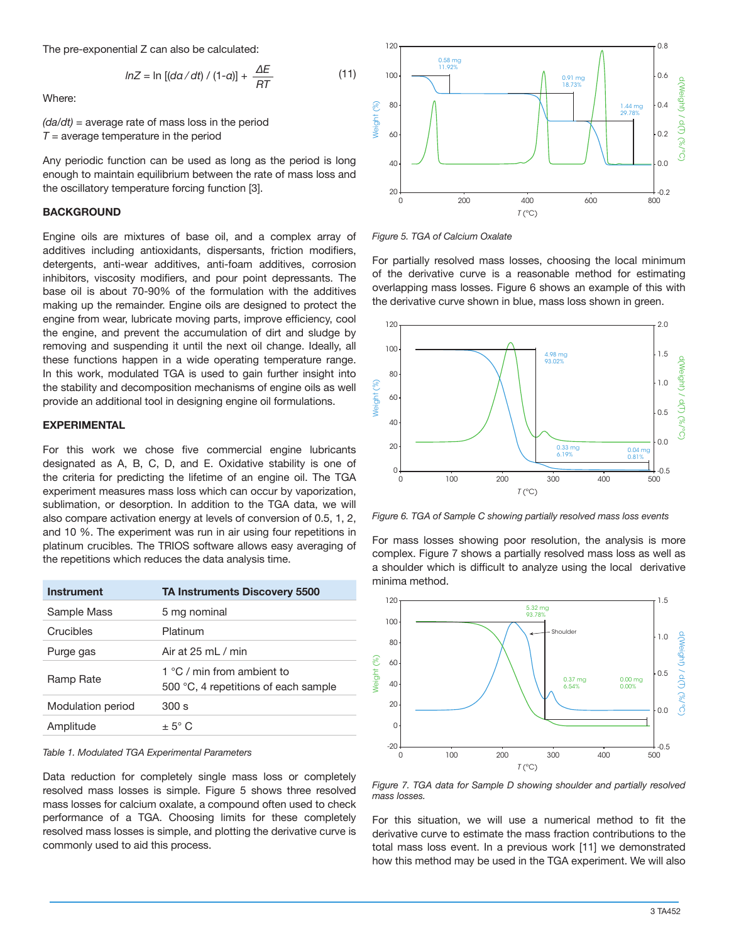The pre-exponential Z can also be calculated:

$$
lnZ = ln [(da/dt) / (1-a)] + \frac{\Delta E}{RT}
$$
 (11)

Where:

*(da/dt)* = average rate of mass loss in the period  $T =$  average temperature in the period

Any periodic function can be used as long as the period is long enough to maintain equilibrium between the rate of mass loss and the oscillatory temperature forcing function [3].

## **BACKGROUND**

Engine oils are mixtures of base oil, and a complex array of additives including antioxidants, dispersants, friction modifiers, detergents, anti-wear additives, anti-foam additives, corrosion inhibitors, viscosity modifiers, and pour point depressants. The base oil is about 70-90% of the formulation with the additives making up the remainder. Engine oils are designed to protect the engine from wear, lubricate moving parts, improve efficiency, cool the engine, and prevent the accumulation of dirt and sludge by removing and suspending it until the next oil change. Ideally, all these functions happen in a wide operating temperature range. In this work, modulated TGA is used to gain further insight into the stability and decomposition mechanisms of engine oils as well provide an additional tool in designing engine oil formulations.

## **EXPERIMENTAL**

For this work we chose five commercial engine lubricants designated as A, B, C, D, and E. Oxidative stability is one of the criteria for predicting the lifetime of an engine oil. The TGA experiment measures mass loss which can occur by vaporization, sublimation, or desorption. In addition to the TGA data, we will also compare activation energy at levels of conversion of 0.5, 1, 2, and 10 %. The experiment was run in air using four repetitions in platinum crucibles. The TRIOS software allows easy averaging of the repetitions which reduces the data analysis time.

| Instrument        | <b>TA Instruments Discovery 5500</b>                               |
|-------------------|--------------------------------------------------------------------|
| Sample Mass       | 5 mg nominal                                                       |
| Crucibles         | Platinum                                                           |
| Purge gas         | Air at $25 \text{ ml} / \text{min}$                                |
| Ramp Rate         | 1 °C / min from ambient to<br>500 °C, 4 repetitions of each sample |
| Modulation period | 300 s                                                              |
| Amplitude         | $+5^{\circ}$ C                                                     |

#### *Table 1. Modulated TGA Experimental Parameters*

Data reduction for completely single mass loss or completely resolved mass losses is simple. Figure 5 shows three resolved mass losses for calcium oxalate, a compound often used to check performance of a TGA. Choosing limits for these completely resolved mass losses is simple, and plotting the derivative curve is commonly used to aid this process.



*Figure 5. TGA of Calcium Oxalate*

For partially resolved mass losses, choosing the local minimum of the derivative curve is a reasonable method for estimating overlapping mass losses. Figure 6 shows an example of this with the derivative curve shown in blue, mass loss shown in green.



*Figure 6. TGA of Sample C showing partially resolved mass loss events*

For mass losses showing poor resolution, the analysis is more complex. Figure 7 shows a partially resolved mass loss as well as a shoulder which is difficult to analyze using the local derivative minima method.



*Figure 7. TGA data for Sample D showing shoulder and partially resolved mass losses.*

For this situation, we will use a numerical method to fit the derivative curve to estimate the mass fraction contributions to the total mass loss event. In a previous work [11] we demonstrated how this method may be used in the TGA experiment. We will also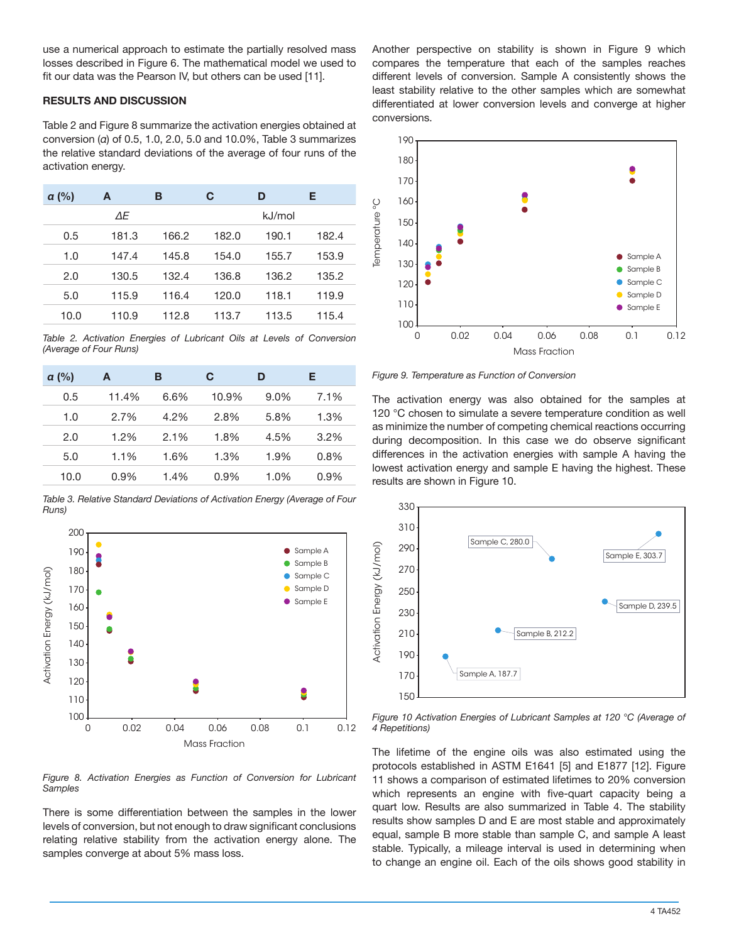use a numerical approach to estimate the partially resolved mass losses described in Figure 6. The mathematical model we used to fit our data was the Pearson IV, but others can be used [11].

## **RESULTS AND DISCUSSION**

Table 2 and Figure 8 summarize the activation energies obtained at conversion (*α*) of 0.5, 1.0, 2.0, 5.0 and 10.0%, Table 3 summarizes the relative standard deviations of the average of four runs of the activation energy.

| a (%) | A     | в     | C     | D      | Е     |
|-------|-------|-------|-------|--------|-------|
|       | ΔE    |       |       | kJ/mol |       |
| 0.5   | 181.3 | 166.2 | 182.0 | 190.1  | 182.4 |
| 1.0   | 147.4 | 145.8 | 154.0 | 155.7  | 153.9 |
| 2.0   | 130.5 | 132.4 | 136.8 | 136.2  | 135.2 |
| 5.0   | 115.9 | 116.4 | 120.0 | 118.1  | 119.9 |
| 10.0  | 110.9 | 112.8 | 113.7 | 113.5  | 115.4 |

*Table 2. Activation Energies of Lubricant Oils at Levels of Conversion (Average of Four Runs)*

| $\alpha$ (%) | A       | в       | С       | D       | Е       |
|--------------|---------|---------|---------|---------|---------|
| 0.5          | 11.4%   | 6.6%    | 10.9%   | $9.0\%$ | 7.1%    |
| 1.0          | 2.7%    | 4.2%    | 2.8%    | 5.8%    | 1.3%    |
| 2.0          | $1.2\%$ | $2.1\%$ | 1.8%    | 4.5%    | 3.2%    |
| 5.0          | 1.1%    | 1.6%    | 1.3%    | 1.9%    | 0.8%    |
| 10.0         | $0.9\%$ | 1.4%    | $0.9\%$ | 1.0%    | $0.9\%$ |

*Table 3. Relative Standard Deviations of Activation Energy (Average of Four Runs)*



*Figure 8. Activation Energies as Function of Conversion for Lubricant Samples*

There is some differentiation between the samples in the lower levels of conversion, but not enough to draw significant conclusions relating relative stability from the activation energy alone. The samples converge at about 5% mass loss.

Another perspective on stability is shown in Figure 9 which compares the temperature that each of the samples reaches different levels of conversion. Sample A consistently shows the least stability relative to the other samples which are somewhat differentiated at lower conversion levels and converge at higher conversions.



*Figure 9. Temperature as Function of Conversion*

The activation energy was also obtained for the samples at 120 °C chosen to simulate a severe temperature condition as well as minimize the number of competing chemical reactions occurring during decomposition. In this case we do observe significant differences in the activation energies with sample A having the lowest activation energy and sample E having the highest. These results are shown in Figure 10.



*Figure 10 Activation Energies of Lubricant Samples at 120 °C (Average of 4 Repetitions)*

The lifetime of the engine oils was also estimated using the protocols established in ASTM E1641 [5] and E1877 [12]. Figure 11 shows a comparison of estimated lifetimes to 20% conversion which represents an engine with five-quart capacity being a quart low. Results are also summarized in Table 4. The stability results show samples D and E are most stable and approximately equal, sample B more stable than sample C, and sample A least stable. Typically, a mileage interval is used in determining when to change an engine oil. Each of the oils shows good stability in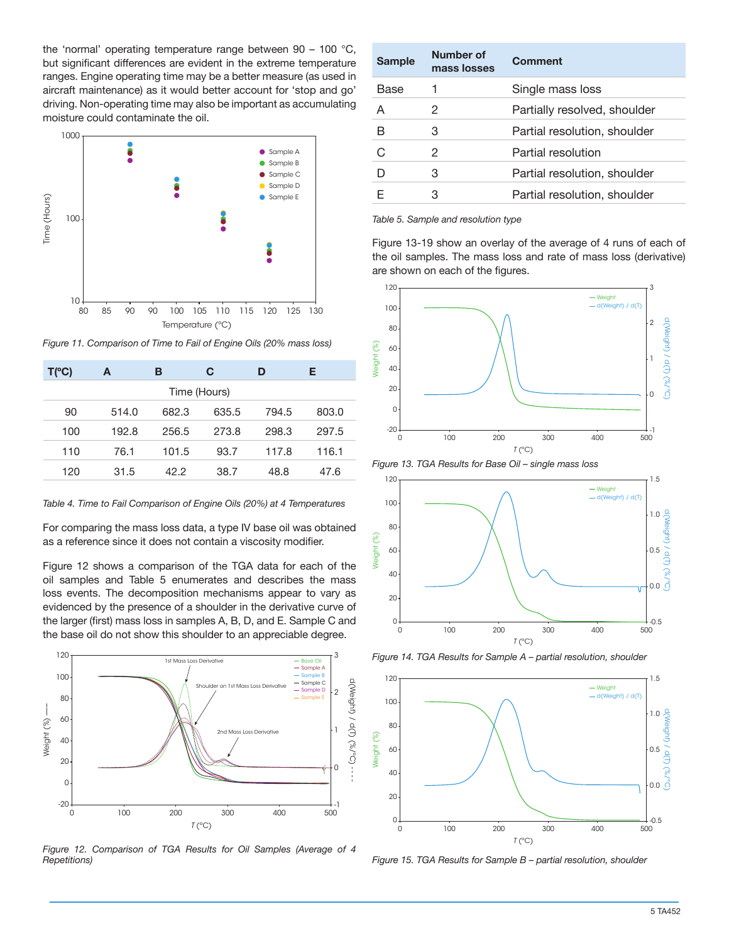the 'normal' operating temperature range between 90 – 100 °C, but significant differences are evident in the extreme temperature ranges. Engine operating time may be a better measure (as used in aircraft maintenance) as it would better account for 'stop and go' driving. Non-operating time may also be important as accumulating moisture could contaminate the oil.



*Figure 11. Comparison of Time to Fail of Engine Oils (20% mass loss)*

| $T(^{\circ}C)$ | A     | в     | C     | D     | Е     |  |
|----------------|-------|-------|-------|-------|-------|--|
| Time (Hours)   |       |       |       |       |       |  |
| 90             | 514.0 | 682.3 | 635.5 | 794.5 | 803.0 |  |
| 100            | 192.8 | 256.5 | 273.8 | 298.3 | 297.5 |  |
| 110            | 76.1  | 101.5 | 93.7  | 117.8 | 116.1 |  |
| 120            | 31.5  | 42.2  | 38.7  | 48.8  | 47.6  |  |

*Table 4. Time to Fail Comparison of Engine Oils (20%) at 4 Temperatures*

For comparing the mass loss data, a type IV base oil was obtained as a reference since it does not contain a viscosity modifier.

Figure 12 shows a comparison of the TGA data for each of the oil samples and Table 5 enumerates and describes the mass loss events. The decomposition mechanisms appear to vary as evidenced by the presence of a shoulder in the derivative curve of the larger (first) mass loss in samples A, B, D, and E. Sample C and the base oil do not show this shoulder to an appreciable degree.



*Figure 12. Comparison of TGA Results for Oil Samples (Average of 4* 

| <b>Sample</b> | Number of<br>mass losses | <b>Comment</b>               |
|---------------|--------------------------|------------------------------|
| Base          |                          | Single mass loss             |
| А             | 2                        | Partially resolved, shoulder |
| R             | З                        | Partial resolution, shoulder |
| C,            | 2                        | Partial resolution           |
|               | З                        | Partial resolution, shoulder |
|               | З                        | Partial resolution, shoulder |

*Table 5. Sample and resolution type*

Figure 13-19 show an overlay of the average of 4 runs of each of the oil samples. The mass loss and rate of mass loss (derivative) are shown on each of the figures.



*Figure 13. TGA Results for Base Oil – single mass loss*



*Figure 14. TGA Results for Sample A – partial resolution, shoulder*



*Figure 15. TGA Results for Sample B – partial resolution, shoulder*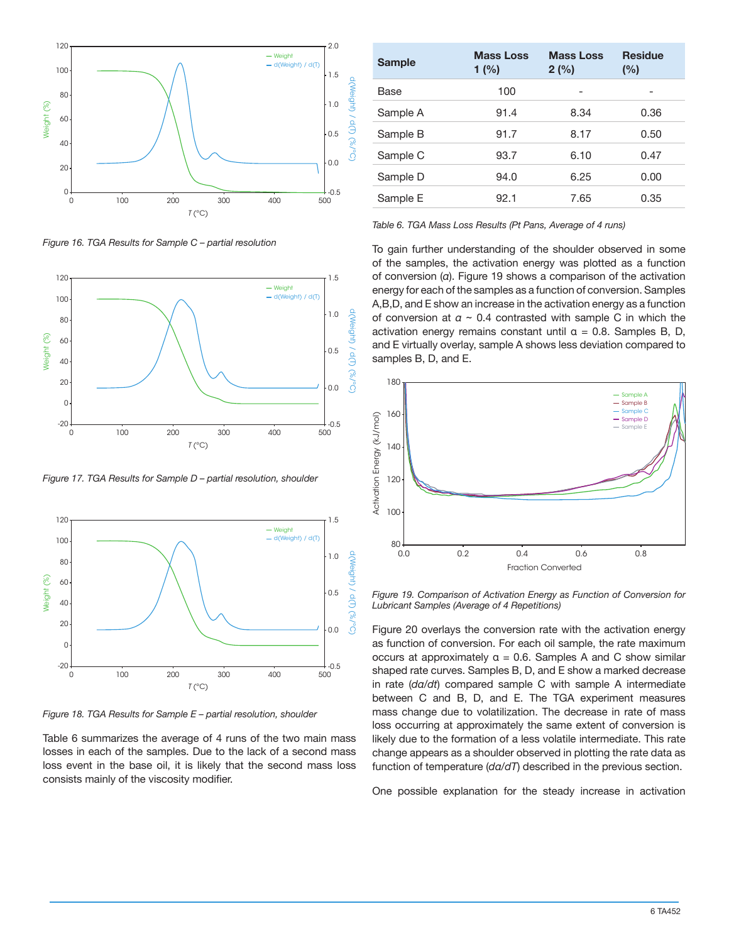

*Figure 16. TGA Results for Sample C – partial resolution*



*Figure 17. TGA Results for Sample D – partial resolution, shoulder*



*Figure 18. TGA Results for Sample E – partial resolution, shoulder*

Table 6 summarizes the average of 4 runs of the two main mass losses in each of the samples. Due to the lack of a second mass loss event in the base oil, it is likely that the second mass loss consists mainly of the viscosity modifier.

| <b>Sample</b> | <b>Mass Loss</b><br>1 $(% )$ | <b>Mass Loss</b><br>2(%) | <b>Residue</b><br>(%) |
|---------------|------------------------------|--------------------------|-----------------------|
| <b>Base</b>   | 100                          |                          |                       |
| Sample A      | 91.4                         | 8.34                     | 0.36                  |
| Sample B      | 91.7                         | 8.17                     | 0.50                  |
| Sample C      | 93.7                         | 6.10                     | 0.47                  |
| Sample D      | 94.0                         | 6.25                     | 0.00                  |
| Sample E      | 92.1                         | 7.65                     | 0.35                  |

*Table 6. TGA Mass Loss Results (Pt Pans, Average of 4 runs)*

To gain further understanding of the shoulder observed in some of the samples, the activation energy was plotted as a function of conversion (*α*). Figure 19 shows a comparison of the activation energy for each of the samples as a function of conversion. Samples A,B,D, and E show an increase in the activation energy as a function of conversion at *α* ~ 0.4 contrasted with sample C in which the activation energy remains constant until  $\alpha = 0.8$ . Samples B, D, and E virtually overlay, sample A shows less deviation compared to samples B, D, and E.



*Figure 19. Comparison of Activation Energy as Function of Conversion for Lubricant Samples (Average of 4 Repetitions)*

Figure 20 overlays the conversion rate with the activation energy as function of conversion. For each oil sample, the rate maximum occurs at approximately  $\alpha = 0.6$ . Samples A and C show similar shaped rate curves. Samples B, D, and E show a marked decrease in rate (*dα/dt*) compared sample C with sample A intermediate between C and B, D, and E. The TGA experiment measures mass change due to volatilization. The decrease in rate of mass loss occurring at approximately the same extent of conversion is likely due to the formation of a less volatile intermediate. This rate change appears as a shoulder observed in plotting the rate data as function of temperature (*dα/dT*) described in the previous section.

One possible explanation for the steady increase in activation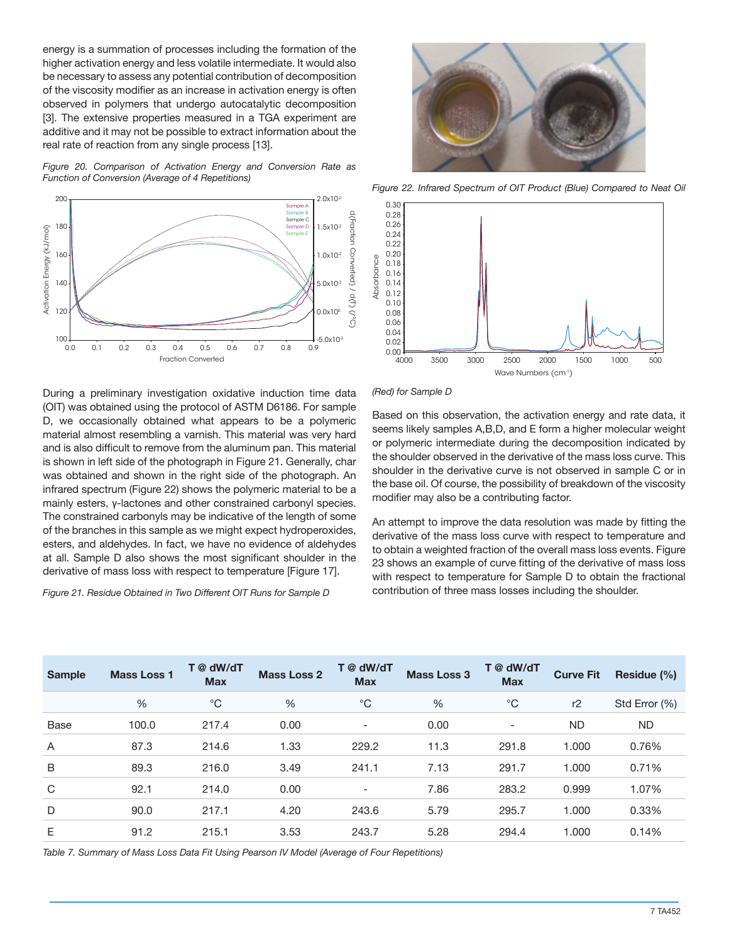energy is a summation of processes including the formation of the higher activation energy and less volatile intermediate. It would also be necessary to assess any potential contribution of decomposition of the viscosity modifier as an increase in activation energy is often observed in polymers that undergo autocatalytic decomposition [3]. The extensive properties measured in a TGA experiment are additive and it may not be possible to extract information about the real rate of reaction from any single process [13].

*Figure 20. Comparison of Activation Energy and Conversion Rate as Function of Conversion (Average of 4 Repetitions)*



During a preliminary investigation oxidative induction time data (OIT) was obtained using the protocol of ASTM D6186. For sample D, we occasionally obtained what appears to be a polymeric material almost resembling a varnish. This material was very hard and is also difficult to remove from the aluminum pan. This material is shown in left side of the photograph in Figure 21. Generally, char was obtained and shown in the right side of the photograph. An infrared spectrum (Figure 22) shows the polymeric material to be a mainly esters, γ-lactones and other constrained carbonyl species. The constrained carbonyls may be indicative of the length of some of the branches in this sample as we might expect hydroperoxides, esters, and aldehydes. In fact, we have no evidence of aldehydes at all. Sample D also shows the most significant shoulder in the derivative of mass loss with respect to temperature [Figure 17]. **Figure 21.** Residue Obtained in Two Different OIT Runs for Sample Distribution of the angle of the protocol of ASTM D6186. For second to the protocol of ASTM D6186. For Sample Distribution and is also difficult to remove



*Figure 22. Infrared Spectrum of OIT Product (Blue) Compared to Neat Oil* 



*(Red) for Sample D*

Based on this observation, the activation energy and rate data, it seems likely samples A,B,D, and E form a higher molecular weight or polymeric intermediate during the decomposition indicated by the shoulder observed in the derivative of the mass loss curve. This shoulder in the derivative curve is not observed in sample C or in the base oil. Of course, the possibility of breakdown of the viscosity modifier may also be a contributing factor.

An attempt to improve the data resolution was made by fitting the derivative of the mass loss curve with respect to temperature and to obtain a weighted fraction of the overall mass loss events. Figure 23 shows an example of curve fitting of the derivative of mass loss with respect to temperature for Sample D to obtain the fractional contribution of three mass losses including the shoulder.

| <b>Sample</b>  | <b>Mass Loss 1</b> | T @ dW/dT<br><b>Max</b> | <b>Mass Loss 2</b> | T @ dW/dT<br><b>Max</b>  | <b>Mass Loss 3</b> | T @ dW/dT<br><b>Max</b>  | <b>Curve Fit</b> | Residue (%)   |
|----------------|--------------------|-------------------------|--------------------|--------------------------|--------------------|--------------------------|------------------|---------------|
|                | $\%$               | $^{\circ}C$             | $\frac{0}{0}$      | $^{\circ}C$              | %                  | $^{\circ}C$              | r2               | Std Error (%) |
| Base           | 100.0              | 217.4                   | 0.00               | $\overline{\phantom{a}}$ | 0.00               | $\overline{\phantom{a}}$ | <b>ND</b>        | ND.           |
| $\overline{A}$ | 87.3               | 214.6                   | 1.33               | 229.2                    | 11.3               | 291.8                    | 1.000            | 0.76%         |
| B              | 89.3               | 216.0                   | 3.49               | 241.1                    | 7.13               | 291.7                    | 1.000            | 0.71%         |
| C              | 92.1               | 214.0                   | 0.00               | $\overline{\phantom{a}}$ | 7.86               | 283.2                    | 0.999            | 1.07%         |
| D              | 90.0               | 217.1                   | 4.20               | 243.6                    | 5.79               | 295.7                    | 1.000            | 0.33%         |
| Ε              | 91.2               | 215.1                   | 3.53               | 243.7                    | 5.28               | 294.4                    | 1.000            | 0.14%         |

*Table 7. Summary of Mass Loss Data Fit Using Pearson IV Model (Average of Four Repetitions)*